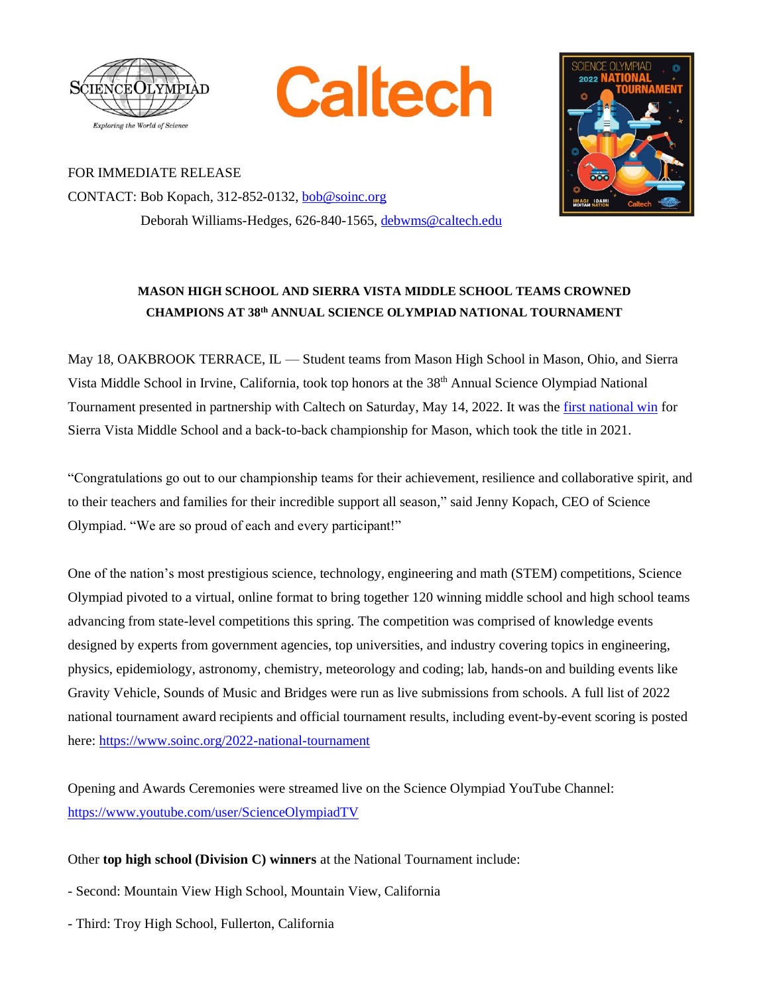





FOR IMMEDIATE RELEASE CONTACT: Bob Kopach, 312-852-0132, [bob@soinc.org](mailto:bob@soinc.org) Deborah Williams-Hedges, 626-840-1565, [debwms@caltech.edu](mailto:debwms@caltech.edu)

## **MASON HIGH SCHOOL AND SIERRA VISTA MIDDLE SCHOOL TEAMS CROWNED CHAMPIONS AT 38 th ANNUAL SCIENCE OLYMPIAD NATIONAL TOURNAMENT**

May 18, OAKBROOK TERRACE, IL — Student teams from Mason High School in Mason, Ohio, and Sierra Vista Middle School in Irvine, California, took top honors at the 38<sup>th</sup> Annual Science Olympiad National Tournament presented in partnership with Caltech on Saturday, May 14, 2022. It was th[e first national win](https://www.soinc.org/national-tournament-winners) for Sierra Vista Middle School and a back-to-back championship for Mason, which took the title in 2021.

"Congratulations go out to our championship teams for their achievement, resilience and collaborative spirit, and to their teachers and families for their incredible support all season," said Jenny Kopach, CEO of Science Olympiad. "We are so proud of each and every participant!"

One of the nation's most prestigious science, technology, engineering and math (STEM) competitions, Science Olympiad pivoted to a virtual, online format to bring together 120 winning middle school and high school teams advancing from state-level competitions this spring. The competition was comprised of knowledge events designed by experts from government agencies, top universities, and industry covering topics in engineering, physics, epidemiology, astronomy, chemistry, meteorology and coding; lab, hands-on and building events like Gravity Vehicle, Sounds of Music and Bridges were run as live submissions from schools. A full list of 2022 national tournament award recipients and official tournament results, including event-by-event scoring is posted here[: https://www.soinc.org/2022-national-tournament](https://www.soinc.org/2022-national-tournament)

Opening and Awards Ceremonies were streamed live on the Science Olympiad YouTube Channel: <https://www.youtube.com/user/ScienceOlympiadTV>

## Other **top high school (Division C) winners** at the National Tournament include:

- Second: Mountain View High School, Mountain View, California
- Third: Troy High School, Fullerton, California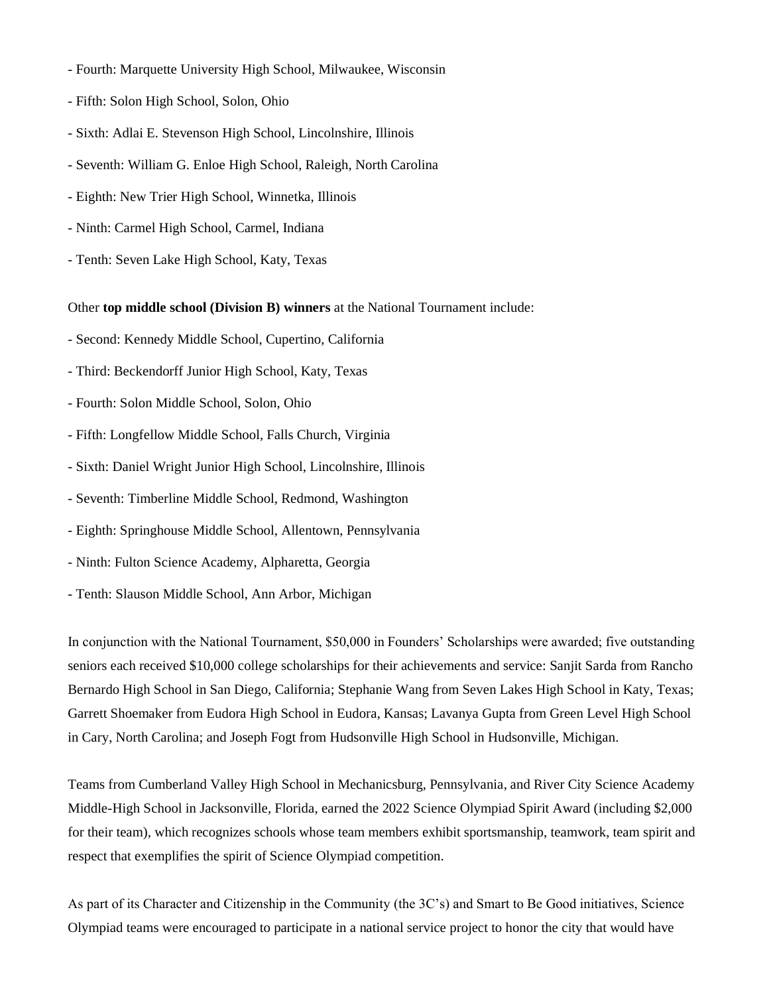- Fourth: Marquette University High School, Milwaukee, Wisconsin
- Fifth: Solon High School, Solon, Ohio
- Sixth: Adlai E. Stevenson High School, Lincolnshire, Illinois
- Seventh: William G. Enloe High School, Raleigh, North Carolina
- Eighth: New Trier High School, Winnetka, Illinois
- Ninth: Carmel High School, Carmel, Indiana
- Tenth: Seven Lake High School, Katy, Texas

## Other **top middle school (Division B) winners** at the National Tournament include:

- Second: Kennedy Middle School, Cupertino, California
- Third: Beckendorff Junior High School, Katy, Texas
- Fourth: Solon Middle School, Solon, Ohio
- Fifth: Longfellow Middle School, Falls Church, Virginia
- Sixth: Daniel Wright Junior High School, Lincolnshire, Illinois
- Seventh: Timberline Middle School, Redmond, Washington
- Eighth: Springhouse Middle School, Allentown, Pennsylvania
- Ninth: Fulton Science Academy, Alpharetta, Georgia
- Tenth: Slauson Middle School, Ann Arbor, Michigan

In conjunction with the National Tournament, \$50,000 in Founders' Scholarships were awarded; five outstanding seniors each received \$10,000 college scholarships for their achievements and service: Sanjit Sarda from Rancho Bernardo High School in San Diego, California; Stephanie Wang from Seven Lakes High School in Katy, Texas; Garrett Shoemaker from Eudora High School in Eudora, Kansas; Lavanya Gupta from Green Level High School in Cary, North Carolina; and Joseph Fogt from Hudsonville High School in Hudsonville, Michigan.

Teams from Cumberland Valley High School in Mechanicsburg, Pennsylvania, and River City Science Academy Middle-High School in Jacksonville, Florida, earned the 2022 Science Olympiad Spirit Award (including \$2,000 for their team), which recognizes schools whose team members exhibit sportsmanship, teamwork, team spirit and respect that exemplifies the spirit of Science Olympiad competition.

As part of its Character and Citizenship in the Community (the 3C's) and Smart to Be Good initiatives, Science Olympiad teams were encouraged to participate in a national service project to honor the city that would have